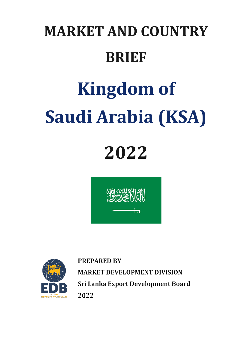## **MARKET AND COUNTRY BRIEF**

# **Kingdom of Saudi Arabia (KSA)**

## **2022**





**PREPARED BY MARKET DEVELOPMENT DIVISION** Sri Lanka Export Development Board 2022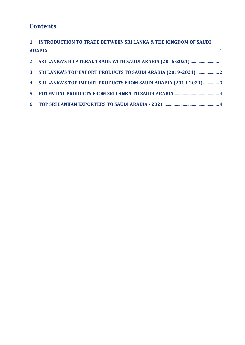### **Contents**

| 1. INTRODUCTION TO TRADE BETWEEN SRI LANKA & THE KINGDOM OF SAUDI  |  |
|--------------------------------------------------------------------|--|
|                                                                    |  |
| 2. SRI LANKA'S BILATERAL TRADE WITH SAUDI ARABIA (2016-2021)  1    |  |
|                                                                    |  |
| 4. SRI LANKA'S TOP IMPORT PRODUCTS FROM SAUDI ARABIA (2019-2021) 3 |  |
|                                                                    |  |
|                                                                    |  |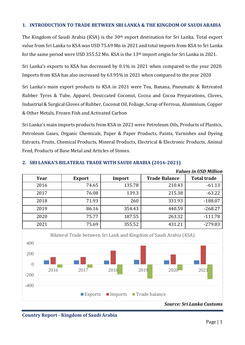#### <span id="page-2-0"></span>**1. INTRODUCTION TO TRADE BETWEEN SRI LANKA & THE KINGDOM OF SAUDI ARABIA**

The Kingdom of Saudi Arabia (KSA) is the 30<sup>th</sup> export destination for Sri Lanka. Total export value from Sri Lanka to KSA was USD 75.69 Mn in 2021 and total imports from KSA to Sri Lanka for the same period were USD 355.52 Mn. KSA is the 13th import origin for Sri Lanka in 2021.

Sri Lanka's exports to KSA has decreased by 0.1% in 2021 when compared to the year 2020. Imports from KSA has also increased by 63.95% in 2021 when compared to the year 2020

Sri Lanka's main export products to KSA in 2021 were Tea, Banana, Pneumatic & Retreated Rubber Tyres & Tube, Apparel, Desiccated Coconut, Cocoa and Cocoa Preparations, Cloves, Industrial & Surgical Gloves of Rubber, Coconut Oil, Foliage, Scrap of Ferrous, Aluminium, Copper & Other Metals, Frozen Fish and Activated Carbon

Sri Lanka's main imports products from KSA in 2021 were Petroleum Oils, Products of Plastics, Petroleum Gases, Organic Chemicals, Paper & Paper Products, Paints, Varnishes and Dyeing Extracts, Fruits, Chemical Products, Mineral Products, Electrical & Electronic Products, Animal Feed, Products of Base Metal and Articles of Stones.



#### <span id="page-2-1"></span>**2. SRI LANKA'S BILATERAL TRADE WITH SAUDI ARABIA (2016-2021)**



#### *Source: Sri Lanka Customs*

**Country Report - Kingdom of Saudi Arabia**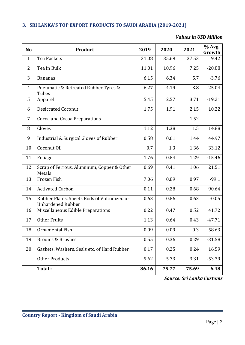#### <span id="page-3-0"></span>**3. SRI LANKA'S TOP EXPORT PRODUCTS TO SAUDI ARABIA (2019-2021)**

#### *Values in USD Million*

| <b>No</b>      | Product                                                                 | 2019  | 2020  | 2021  | % Avg.<br>Growth |
|----------------|-------------------------------------------------------------------------|-------|-------|-------|------------------|
| $\mathbf{1}$   | <b>Tea Packets</b>                                                      | 31.08 | 35.69 | 37.53 | 9.42             |
| 2              | Tea in Bulk                                                             | 11.01 | 10.96 | 7.25  | $-20.88$         |
| 3              | <b>Bananas</b>                                                          | 6.15  | 6.34  | 5.7   | $-3.76$          |
| $\overline{4}$ | Pneumatic & Retreated Rubber Tyres &<br>Tubes                           | 6.27  | 4.19  | 3.8   | $-25.04$         |
| 5              | Apparel                                                                 | 5.45  | 2.57  | 3.71  | $-19.21$         |
| 6              | <b>Desiccated Coconut</b>                                               | 1.75  | 1.91  | 2.15  | 10.22            |
| 7              | Cocoa and Cocoa Preparations                                            |       |       | 1.52  |                  |
| 8              | Cloves                                                                  | 1.12  | 1.38  | 1.5   | 14.88            |
| 9              | Industrial & Surgical Gloves of Rubber                                  | 0.58  | 0.61  | 1.44  | 44.97            |
| 10             | Coconut Oil                                                             | 0.7   | 1.3   | 1.36  | 33.12            |
| 11             | Foliage                                                                 | 1.76  | 0.84  | 1.29  | $-15.46$         |
| 12             | Scrap of Ferrous, Aluminum, Copper & Other<br>Metals                    | 0.69  | 0.41  | 1.06  | 21.51            |
| 13             | Frozen Fish                                                             | 7.06  | 0.89  | 0.97  | $-99.1$          |
| 14             | <b>Activated Carbon</b>                                                 | 0.11  | 0.28  | 0.68  | 90.64            |
| 15             | Rubber Plates, Sheets Rods of Vulcanized or<br><b>Unhardened Rubber</b> | 0.63  | 0.86  | 0.63  | $-0.05$          |
| 16             | Miscellaneous Edible Preparations                                       | 0.22  | 0.47  | 0.52  | 41.72            |
| 17             | <b>Other Fruits</b>                                                     | 1.13  | 0.64  | 0.43  | $-47.71$         |
| 18             | Ornamental Fish                                                         | 0.09  | 0.09  | 0.3   | 58.63            |
| 19             | <b>Brooms &amp; Brushes</b>                                             | 0.55  | 0.36  | 0.29  | $-31.58$         |
| 20             | Gaskets, Washers, Seals etc. of Hard Rubber                             | 0.17  | 0.25  | 0.24  | 16.59            |
|                | <b>Other Products</b>                                                   | 9.62  | 5.73  | 3.31  | $-53.39$         |
|                | Total:                                                                  | 86.16 | 75.77 | 75.69 | $-6.48$          |

*Source: Sri Lanka Customs*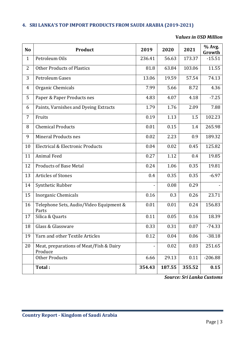#### <span id="page-4-0"></span>**4. SRI LANKA'S TOP IMPORT PRODUCTS FROM SAUDI ARABIA (2019-2021)**

#### **V***alues in USD Million*

| N <sub>o</sub> | <b>Product</b>                                     | 2019   | 2020   | 2021     | % Avg.<br>Growth |
|----------------|----------------------------------------------------|--------|--------|----------|------------------|
| $\mathbf{1}$   | Petroleum Oils                                     | 236.41 | 56.63  | 173.37   | $-15.51$         |
| $\overline{2}$ | <b>Other Products of Plastics</b>                  | 81.8   | 63.84  | 103.06   | 11.55            |
| 3              | <b>Petroleum Gases</b>                             | 13.06  | 19.59  | 57.54    | 74.13            |
| 4              | Organic Chemicals                                  | 7.99   | 5.66   | 8.72     | 4.36             |
| 5              | Paper & Paper Products nes                         | 4.83   | 4.07   | 4.18     | $-7.25$          |
| 6              | Paints, Varnishes and Dyeing Extracts              | 1.79   | 1.76   | 2.09     | 7.88             |
| 7              | Fruits                                             | 0.19   | 1.13   | 1.5      | 102.23           |
| 8              | <b>Chemical Products</b>                           | 0.01   | 0.15   | 1.4      | 265.98           |
| 9              | Mineral Products nes                               | 0.02   | 2.23   | 0.9      | 189.32           |
| 10             | Electrical & Electronic Products                   | 0.04   | 0.02   | 0.45     | 125.82           |
| 11             | <b>Animal Feed</b>                                 | 0.27   | 1.12   | 0.4      | 19.85            |
| 12             | <b>Products of Base Metal</b>                      | 0.24   | 1.06   | 0.35     | 19.81            |
| 13             | <b>Articles of Stones</b>                          | 0.4    | 0.35   | 0.35     | $-6.97$          |
| 14             | Synthetic Rubber                                   |        | 0.08   | 0.29     |                  |
| 15             | <b>Inorganic Chemicals</b>                         | 0.16   | 0.3    | 0.26     | 23.71            |
| 16             | Telephone Sets, Audio/Video Equipment &<br>Parts   | 0.01   | 0.01   | 0.24     | 156.83           |
| 17             | Silica & Quarts                                    | 0.11   | 0.05   | 0.16     | 18.39            |
| 18             | Glass & Glassware                                  | 0.33   | 0.31   | $0.07\,$ | $-74.33$         |
| 19             | Yarn and other Textile Articles                    | 0.12   | 0.04   | 0.06     | $-38.18$         |
| 20             | Meat, preparations of Meat/Fish & Dairy<br>Produce |        | 0.02   | 0.03     | 251.65           |
|                | <b>Other Products</b>                              | 6.66   | 29.13  | 0.11     | $-206.88$        |
|                | Total:                                             | 354.43 | 187.55 | 355.52   | 0.15             |

*Source: Sri Lanka Customs*